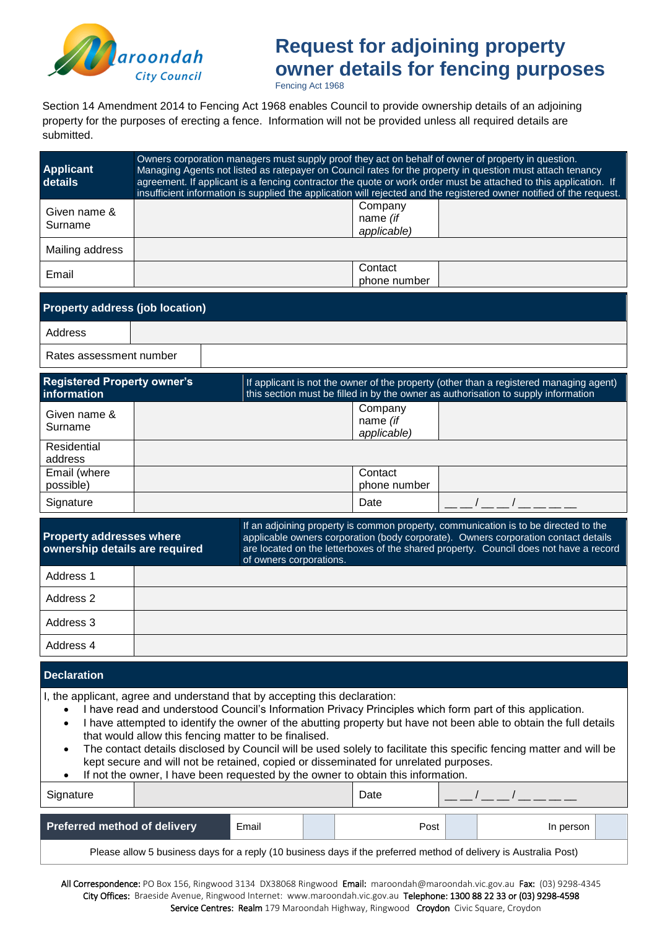

# **Request for adjoining property owner details for fencing purposes**

Fencing Act 1968

Section 14 Amendment 2014 to Fencing Act 1968 enables Council to provide ownership details of an adjoining property for the purposes of erecting a fence. Information will not be provided unless all required details are submitted.

| <b>Applicant</b><br>details                       | Owners corporation managers must supply proof they act on behalf of owner of property in question.<br>Managing Agents not listed as ratepayer on Council rates for the property in question must attach tenancy<br>agreement. If applicant is a fencing contractor the quote or work order must be attached to this application. If<br>insufficient information is supplied the application will rejected and the registered owner notified of the request. |                                                                                                                                                                              |  |  |  |  |  |  |
|---------------------------------------------------|-------------------------------------------------------------------------------------------------------------------------------------------------------------------------------------------------------------------------------------------------------------------------------------------------------------------------------------------------------------------------------------------------------------------------------------------------------------|------------------------------------------------------------------------------------------------------------------------------------------------------------------------------|--|--|--|--|--|--|
| Given name &<br>Surname                           |                                                                                                                                                                                                                                                                                                                                                                                                                                                             | Company<br>name (if<br>applicable)                                                                                                                                           |  |  |  |  |  |  |
| Mailing address                                   |                                                                                                                                                                                                                                                                                                                                                                                                                                                             |                                                                                                                                                                              |  |  |  |  |  |  |
| Email                                             |                                                                                                                                                                                                                                                                                                                                                                                                                                                             | Contact<br>phone number                                                                                                                                                      |  |  |  |  |  |  |
| <b>Property address (job location)</b>            |                                                                                                                                                                                                                                                                                                                                                                                                                                                             |                                                                                                                                                                              |  |  |  |  |  |  |
| Address                                           |                                                                                                                                                                                                                                                                                                                                                                                                                                                             |                                                                                                                                                                              |  |  |  |  |  |  |
| Rates assessment number                           |                                                                                                                                                                                                                                                                                                                                                                                                                                                             |                                                                                                                                                                              |  |  |  |  |  |  |
| <b>Registered Property owner's</b><br>information |                                                                                                                                                                                                                                                                                                                                                                                                                                                             | If applicant is not the owner of the property (other than a registered managing agent)<br>this section must be filled in by the owner as authorisation to supply information |  |  |  |  |  |  |
| Given name &<br>Surname                           |                                                                                                                                                                                                                                                                                                                                                                                                                                                             | Company<br>name (if<br>applicable)                                                                                                                                           |  |  |  |  |  |  |
| Residential<br>address                            |                                                                                                                                                                                                                                                                                                                                                                                                                                                             |                                                                                                                                                                              |  |  |  |  |  |  |
| Email (where<br>possible)                         |                                                                                                                                                                                                                                                                                                                                                                                                                                                             | Contact<br>phone number                                                                                                                                                      |  |  |  |  |  |  |
| Signature                                         |                                                                                                                                                                                                                                                                                                                                                                                                                                                             | Date                                                                                                                                                                         |  |  |  |  |  |  |
| <b>Property addresses where</b>                   |                                                                                                                                                                                                                                                                                                                                                                                                                                                             | If an adjoining property is common property, communication is to be directed to the<br>applicable owners corporation (body corporate). Owners corporation contact details    |  |  |  |  |  |  |

**ownership details are required** are located on the letterboxes of the shared property. Council does not have a record of owners corporations. Address 1 Address 2 Address 3 Address 4

#### **Declaration**

- I, the applicant, agree and understand that by accepting this declaration:
	- I have read and understood Council's Information Privacy Principles which form part of this application.
	- I have attempted to identify the owner of the abutting property but have not been able to obtain the full details that would allow this fencing matter to be finalised.
	- The contact details disclosed by Council will be used solely to facilitate this specific fencing matter and will be kept secure and will not be retained, copied or disseminated for unrelated purposes.

| If not the owner, I have been requested by the owner to obtain this information. |  |       |  |      |  |           |  |  |  |  |
|----------------------------------------------------------------------------------|--|-------|--|------|--|-----------|--|--|--|--|
| Signature                                                                        |  |       |  | Date |  |           |  |  |  |  |
| <b>Preferred method of delivery</b>                                              |  | Email |  | Post |  | In person |  |  |  |  |
|                                                                                  |  |       |  |      |  |           |  |  |  |  |

Please allow 5 business days for a reply (10 business days if the preferred method of delivery is Australia Post)

All Correspondence: PO Box 156, Ringwood 3134 DX38068 Ringwood Email: maroondah@maroondah.vic.gov.au Fax: (03) 9298-4345 City Offices: Braeside Avenue, Ringwood Internet: www.maroondah.vic.gov.au Telephone: 1300 88 22 33 or (03) 9298-4598 Service Centres: Realm 179 Maroondah Highway, Ringwood Croydon Civic Square, Croydon